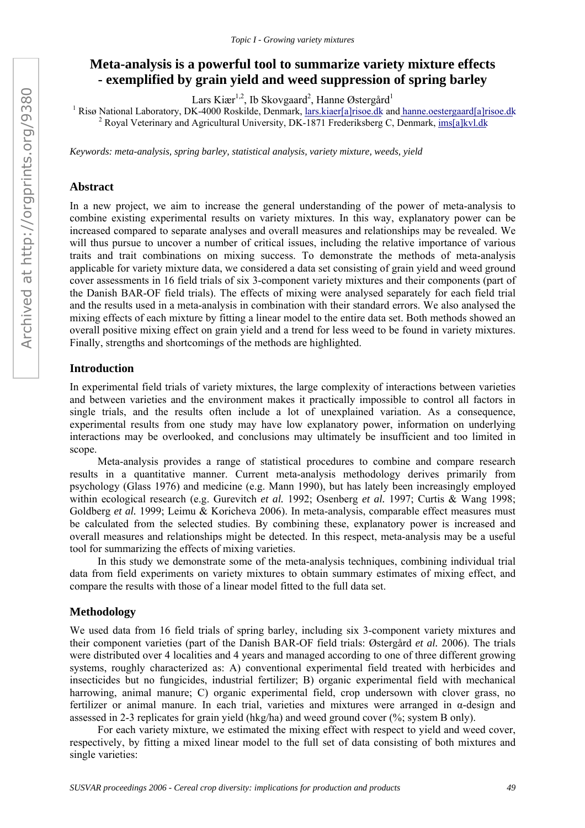# **Meta-analysis is a powerful tool to summarize variety mixture effects - exemplified by grain yield and weed suppression of spring barley**

Lars Kiær<sup>1,2</sup>, Ib Skovgaard<sup>2</sup>, Hanne Østergård<sup>1</sup>

<sup>1</sup> Risø National Laboratory, DK-4000 Roskilde, Denmark, <u>lars.kiaer[a]risoe.dk</u> and hanne.oestergaard[a]risoe.dk  $\frac{2 \text{ P}}{2}$ <sup>2</sup> Royal Veterinary and Agricultural University, DK-1871 Frederiksberg C, Denmark, ims[a]kvl.dk

*Keywords: meta-analysis, spring barley, statistical analysis, variety mixture, weeds, yield* 

## **Abstract**

In a new project, we aim to increase the general understanding of the power of meta-analysis to combine existing experimental results on variety mixtures. In this way, explanatory power can be increased compared to separate analyses and overall measures and relationships may be revealed. We will thus pursue to uncover a number of critical issues, including the relative importance of various traits and trait combinations on mixing success. To demonstrate the methods of meta-analysis applicable for variety mixture data, we considered a data set consisting of grain yield and weed ground cover assessments in 16 field trials of six 3-component variety mixtures and their components (part of the Danish BAR-OF field trials). The effects of mixing were analysed separately for each field trial and the results used in a meta-analysis in combination with their standard errors. We also analysed the mixing effects of each mixture by fitting a linear model to the entire data set. Both methods showed an overall positive mixing effect on grain yield and a trend for less weed to be found in variety mixtures. Finally, strengths and shortcomings of the methods are highlighted.

### **Introduction**

In experimental field trials of variety mixtures, the large complexity of interactions between varieties and between varieties and the environment makes it practically impossible to control all factors in single trials, and the results often include a lot of unexplained variation. As a consequence, experimental results from one study may have low explanatory power, information on underlying interactions may be overlooked, and conclusions may ultimately be insufficient and too limited in scope.

Meta-analysis provides a range of statistical procedures to combine and compare research results in a quantitative manner. Current meta-analysis methodology derives primarily from psychology (Glass 1976) and medicine (e.g. Mann 1990), but has lately been increasingly employed within ecological research (e.g. Gurevitch *et al.* 1992; Osenberg *et al.* 1997; Curtis & Wang 1998; Goldberg *et al.* 1999; Leimu & Koricheva 2006). In meta-analysis, comparable effect measures must be calculated from the selected studies. By combining these, explanatory power is increased and overall measures and relationships might be detected. In this respect, meta-analysis may be a useful tool for summarizing the effects of mixing varieties.

In this study we demonstrate some of the meta-analysis techniques, combining individual trial data from field experiments on variety mixtures to obtain summary estimates of mixing effect, and compare the results with those of a linear model fitted to the full data set.

#### **Methodology**

We used data from 16 field trials of spring barley, including six 3-component variety mixtures and their component varieties (part of the Danish BAR-OF field trials: Østergård *et al.* 2006). The trials were distributed over 4 localities and 4 years and managed according to one of three different growing systems, roughly characterized as: A) conventional experimental field treated with herbicides and insecticides but no fungicides, industrial fertilizer; B) organic experimental field with mechanical harrowing, animal manure; C) organic experimental field, crop undersown with clover grass, no fertilizer or animal manure. In each trial, varieties and mixtures were arranged in α-design and assessed in 2-3 replicates for grain yield (hkg/ha) and weed ground cover  $\frac{6}{6}$ ; system B only).

For each variety mixture, we estimated the mixing effect with respect to yield and weed cover, respectively, by fitting a mixed linear model to the full set of data consisting of both mixtures and single varieties: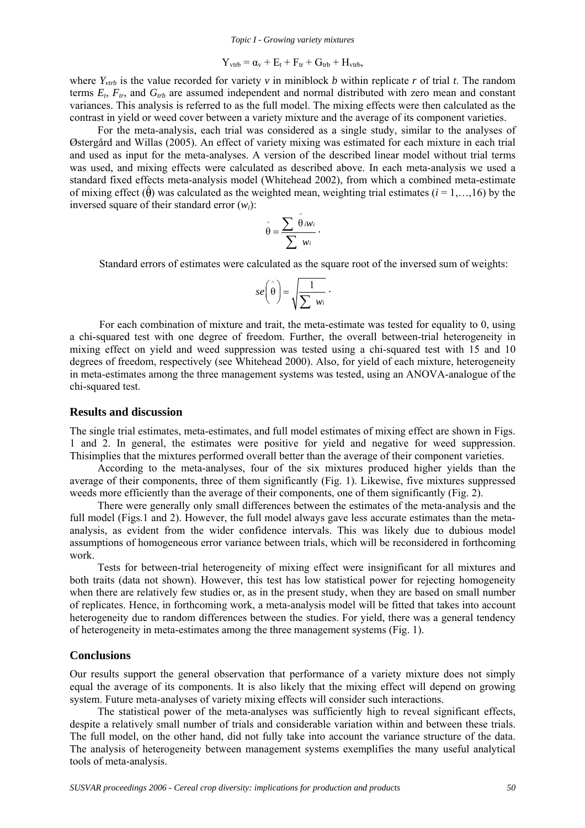*Topic I - Growing variety mixtures* 

$$
Y_{\text{vtrb}} = \alpha_{\text{v}} + E_{\text{t}} + F_{\text{tr}} + G_{\text{trb}} + H_{\text{vtrb}},
$$

where  $Y_{\text{vtrb}}$  is the value recorded for variety *v* in miniblock *b* within replicate *r* of trial *t*. The random terms  $E_t$ ,  $F_{tr}$ , and  $G_{trb}$  are assumed independent and normal distributed with zero mean and constant variances. This analysis is referred to as the full model. The mixing effects were then calculated as the contrast in yield or weed cover between a variety mixture and the average of its component varieties.

For the meta-analysis, each trial was considered as a single study, similar to the analyses of Østergård and Willas (2005). An effect of variety mixing was estimated for each mixture in each trial and used as input for the meta-analyses. A version of the described linear model without trial terms was used, and mixing effects were calculated as described above. In each meta-analysis we used a standard fixed effects meta-analysis model (Whitehead 2002), from which a combined meta-estimate of mixing effect  $(\hat{\theta})$  was calculated as the weighted mean, weighting trial estimates ( $i = 1,...,16$ ) by the inversed square of their standard error  $(w_i)$ :

$$
\hat{\theta} = \frac{\sum \theta_i w_i}{\sum w_i}.
$$

Standard errors of estimates were calculated as the square root of the inversed sum of weights:

$$
se\left(\overset{\wedge}{\theta}\right)=\sqrt{\frac{1}{\sum w_i}}.
$$

For each combination of mixture and trait, the meta-estimate was tested for equality to 0, using a chi-squared test with one degree of freedom. Further, the overall between-trial heterogeneity in mixing effect on yield and weed suppression was tested using a chi-squared test with 15 and 10 degrees of freedom, respectively (see Whitehead 2000). Also, for yield of each mixture, heterogeneity in meta-estimates among the three management systems was tested, using an ANOVA-analogue of the chi-squared test.

### **Results and discussion**

The single trial estimates, meta-estimates, and full model estimates of mixing effect are shown in Figs. 1 and 2. In general, the estimates were positive for yield and negative for weed suppression. Thisimplies that the mixtures performed overall better than the average of their component varieties.

According to the meta-analyses, four of the six mixtures produced higher yields than the average of their components, three of them significantly (Fig. 1). Likewise, five mixtures suppressed weeds more efficiently than the average of their components, one of them significantly (Fig. 2).

There were generally only small differences between the estimates of the meta-analysis and the full model (Figs.1 and 2). However, the full model always gave less accurate estimates than the metaanalysis, as evident from the wider confidence intervals. This was likely due to dubious model assumptions of homogeneous error variance between trials, which will be reconsidered in forthcoming work.

Tests for between-trial heterogeneity of mixing effect were insignificant for all mixtures and both traits (data not shown). However, this test has low statistical power for rejecting homogeneity when there are relatively few studies or, as in the present study, when they are based on small number of replicates. Hence, in forthcoming work, a meta-analysis model will be fitted that takes into account heterogeneity due to random differences between the studies. For yield, there was a general tendency of heterogeneity in meta-estimates among the three management systems (Fig. 1).

### **Conclusions**

Our results support the general observation that performance of a variety mixture does not simply equal the average of its components. It is also likely that the mixing effect will depend on growing system. Future meta-analyses of variety mixing effects will consider such interactions.

The statistical power of the meta-analyses was sufficiently high to reveal significant effects, despite a relatively small number of trials and considerable variation within and between these trials. The full model, on the other hand, did not fully take into account the variance structure of the data. The analysis of heterogeneity between management systems exemplifies the many useful analytical tools of meta-analysis.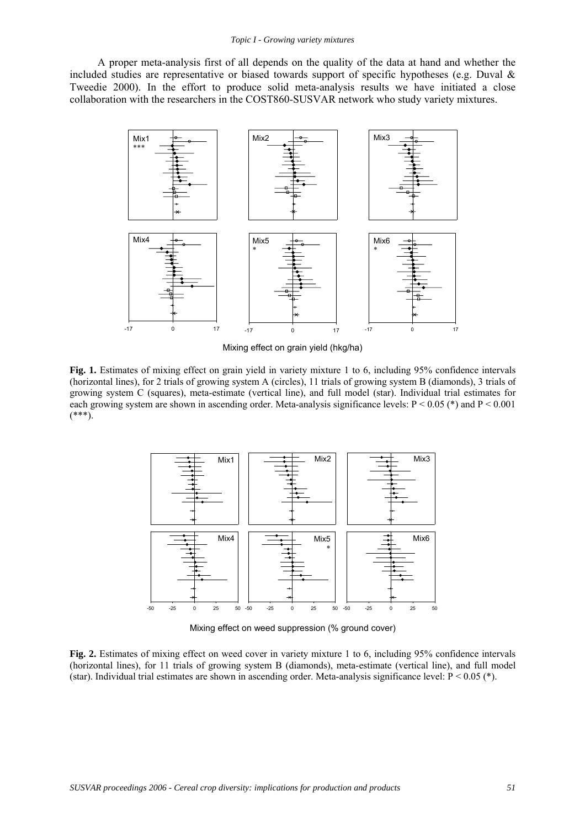A proper meta-analysis first of all depends on the quality of the data at hand and whether the included studies are representative or biased towards support of specific hypotheses (e.g. Duval & Tweedie 2000). In the effort to produce solid meta-analysis results we have initiated a close collaboration with the researchers in the COST860-SUSVAR network who study variety mixtures.



Mixing effect on grain yield (hkg/ha)

**Fig. 1.** Estimates of mixing effect on grain yield in variety mixture 1 to 6, including 95% confidence intervals (horizontal lines), for 2 trials of growing system A (circles), 11 trials of growing system B (diamonds), 3 trials of growing system C (squares), meta-estimate (vertical line), and full model (star). Individual trial estimates for each growing system are shown in ascending order. Meta-analysis significance levels:  $P \le 0.05$  (\*) and  $P \le 0.001$  $(***).$ 



Mixing effect on weed suppression (% ground cover)

**Fig. 2.** Estimates of mixing effect on weed cover in variety mixture 1 to 6, including 95% confidence intervals (horizontal lines), for 11 trials of growing system B (diamonds), meta-estimate (vertical line), and full model (star). Individual trial estimates are shown in ascending order. Meta-analysis significance level:  $P < 0.05$  (\*).